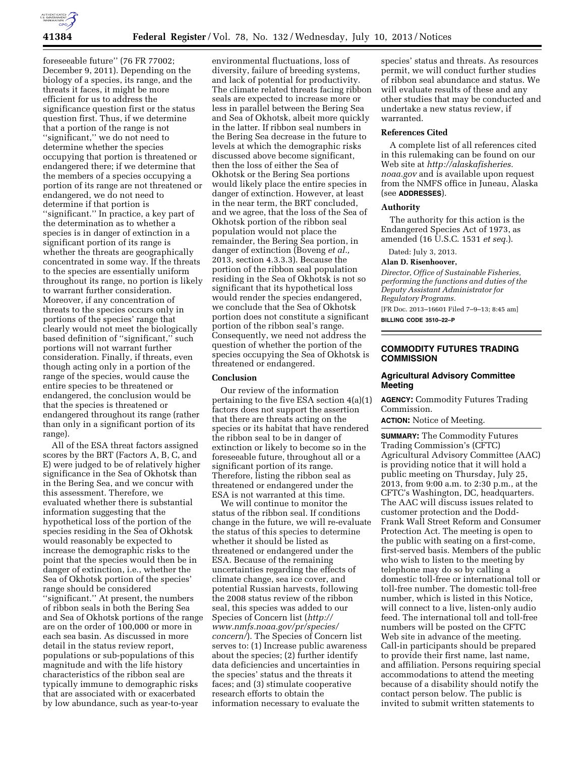

foreseeable future'' (76 FR 77002; December 9, 2011). Depending on the biology of a species, its range, and the threats it faces, it might be more efficient for us to address the significance question first or the status question first. Thus, if we determine that a portion of the range is not ''significant,'' we do not need to determine whether the species occupying that portion is threatened or endangered there; if we determine that the members of a species occupying a portion of its range are not threatened or endangered, we do not need to determine if that portion is ''significant.'' In practice, a key part of the determination as to whether a species is in danger of extinction in a significant portion of its range is whether the threats are geographically concentrated in some way. If the threats to the species are essentially uniform throughout its range, no portion is likely to warrant further consideration. Moreover, if any concentration of threats to the species occurs only in portions of the species' range that clearly would not meet the biologically based definition of ''significant,'' such portions will not warrant further consideration. Finally, if threats, even though acting only in a portion of the range of the species, would cause the entire species to be threatened or endangered, the conclusion would be that the species is threatened or endangered throughout its range (rather than only in a significant portion of its range).

All of the ESA threat factors assigned scores by the BRT (Factors A, B, C, and E) were judged to be of relatively higher significance in the Sea of Okhotsk than in the Bering Sea, and we concur with this assessment. Therefore, we evaluated whether there is substantial information suggesting that the hypothetical loss of the portion of the species residing in the Sea of Okhotsk would reasonably be expected to increase the demographic risks to the point that the species would then be in danger of extinction, i.e., whether the Sea of Okhotsk portion of the species' range should be considered ''significant.'' At present, the numbers of ribbon seals in both the Bering Sea and Sea of Okhotsk portions of the range are on the order of 100,000 or more in each sea basin. As discussed in more detail in the status review report, populations or sub-populations of this magnitude and with the life history characteristics of the ribbon seal are typically immune to demographic risks that are associated with or exacerbated by low abundance, such as year-to-year

environmental fluctuations, loss of diversity, failure of breeding systems, and lack of potential for productivity. The climate related threats facing ribbon seals are expected to increase more or less in parallel between the Bering Sea and Sea of Okhotsk, albeit more quickly in the latter. If ribbon seal numbers in the Bering Sea decrease in the future to levels at which the demographic risks discussed above become significant, then the loss of either the Sea of Okhotsk or the Bering Sea portions would likely place the entire species in danger of extinction. However, at least in the near term, the BRT concluded, and we agree, that the loss of the Sea of Okhotsk portion of the ribbon seal population would not place the remainder, the Bering Sea portion, in danger of extinction (Boveng *et al.,*  2013, section 4.3.3.3). Because the portion of the ribbon seal population residing in the Sea of Okhotsk is not so significant that its hypothetical loss would render the species endangered, we conclude that the Sea of Okhotsk portion does not constitute a significant portion of the ribbon seal's range. Consequently, we need not address the question of whether the portion of the species occupying the Sea of Okhotsk is threatened or endangered.

### **Conclusion**

Our review of the information pertaining to the five ESA section 4(a)(1) factors does not support the assertion that there are threats acting on the species or its habitat that have rendered the ribbon seal to be in danger of extinction or likely to become so in the foreseeable future, throughout all or a significant portion of its range. Therefore, listing the ribbon seal as threatened or endangered under the ESA is not warranted at this time.

We will continue to monitor the status of the ribbon seal. If conditions change in the future, we will re-evaluate the status of this species to determine whether it should be listed as threatened or endangered under the ESA. Because of the remaining uncertainties regarding the effects of climate change, sea ice cover, and potential Russian harvests, following the 2008 status review of the ribbon seal, this species was added to our Species of Concern list (*[http://](http://www.nmfs.noaa.gov/pr/species/concern/) [www.nmfs.noaa.gov/pr/species/](http://www.nmfs.noaa.gov/pr/species/concern/)  [concern/](http://www.nmfs.noaa.gov/pr/species/concern/)*). The Species of Concern list serves to: (1) Increase public awareness about the species; (2) further identify data deficiencies and uncertainties in the species' status and the threats it faces; and (3) stimulate cooperative research efforts to obtain the information necessary to evaluate the

species' status and threats. As resources permit, we will conduct further studies of ribbon seal abundance and status. We will evaluate results of these and any other studies that may be conducted and undertake a new status review, if warranted.

### **References Cited**

A complete list of all references cited in this rulemaking can be found on our Web site at *[http://alaskafisheries.](http://alaskafisheries.noaa.gov) [noaa.gov](http://alaskafisheries.noaa.gov)* and is available upon request from the NMFS office in Juneau, Alaska (see **ADDRESSES**).

#### **Authority**

The authority for this action is the Endangered Species Act of 1973, as amended (16 U.S.C. 1531 *et seq.*).

Dated: July 3, 2013. **Alan D. Risenhoover,** 

# *Director, Office of Sustainable Fisheries, performing the functions and duties of the Deputy Assistant Administrator for*

*Regulatory Programs.* 

[FR Doc. 2013–16601 Filed 7–9–13; 8:45 am]

**BILLING CODE 3510–22–P** 

# **COMMODITY FUTURES TRADING COMMISSION**

## **Agricultural Advisory Committee Meeting**

**AGENCY:** Commodity Futures Trading Commission.

**ACTION:** Notice of Meeting.

**SUMMARY:** The Commodity Futures Trading Commission's (CFTC) Agricultural Advisory Committee (AAC) is providing notice that it will hold a public meeting on Thursday, July 25, 2013, from 9:00 a.m. to 2:30 p.m., at the CFTC's Washington, DC, headquarters. The AAC will discuss issues related to customer protection and the Dodd-Frank Wall Street Reform and Consumer Protection Act. The meeting is open to the public with seating on a first-come, first-served basis. Members of the public who wish to listen to the meeting by telephone may do so by calling a domestic toll-free or international toll or toll-free number. The domestic toll-free number, which is listed in this Notice, will connect to a live, listen-only audio feed. The international toll and toll-free numbers will be posted on the CFTC Web site in advance of the meeting. Call-in participants should be prepared to provide their first name, last name, and affiliation. Persons requiring special accommodations to attend the meeting because of a disability should notify the contact person below. The public is invited to submit written statements to